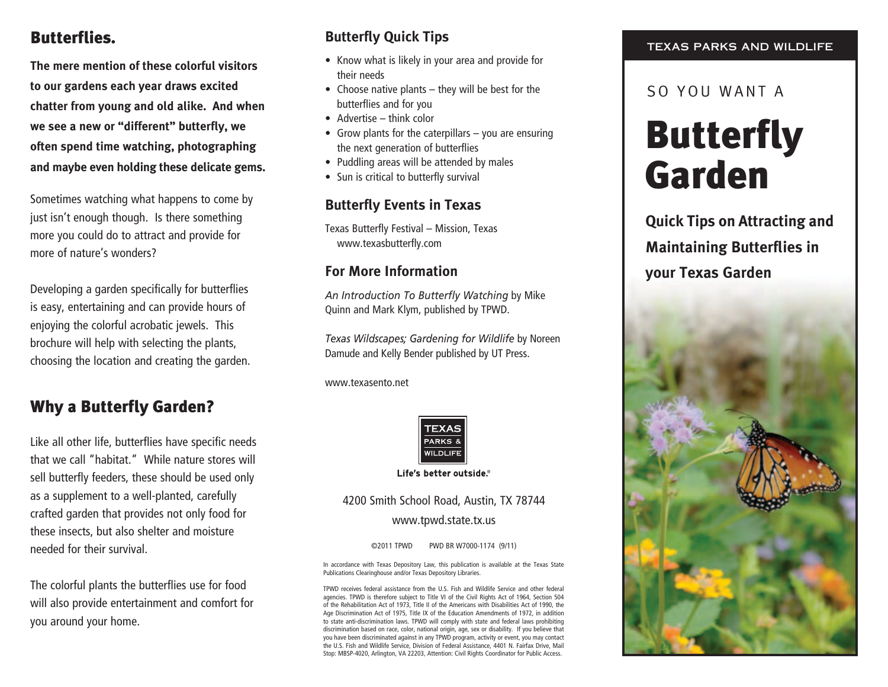## Butterflies.

**The mere mention of these colorful visitors to our gardens each year draws excited chatter from young and old alike. And when we see a new or "different" butterfly, we often spend time watching, photographing and maybe even holding these delicate gems.** 

Sometimes watching what happens to come by just isn't enough though. Is there something more you could do to attract and provide for more of nature's wonders?

Developing a garden specifically for butterflies is easy, entertaining and can provide hours of enjoying the colorful acrobatic jewels. This brochure will help with selecting the plants, choosing the location and creating the garden.

## Why a Butterfly Garden?

Like all other life, butterflies have specific needs that we call "habitat." While nature stores will sell butterfly feeders, these should be used only as a supplement to a well-planted, carefully crafted garden that provides not only food for these insects, but also shelter and moisture needed for their survival.

The colorful plants the butterflies use for food will also provide entertainment and comfort for you around your home.

## **Butterfly Quick Tips**

- Know what is likely in your area and provide for their needs
- $\bullet$  Choose native plants they will be best for the butterflies and for you
- $\bullet$  Advertise think color
- Grow plants for the caterpillars  $-$  you are ensuring the next generation of butterflies
- Puddling areas will be attended by males
- Sun is critical to butterfly survival

#### **Butterfly Events in Texas**

Texas Butterfly Festival – Mission, Texas www.texasbutterfly.com

#### **For More Information**

*An Introduction To Butterfly Watching* by Mike Quinn and Mark Klym, published by TPWD.

*Texas Wildscapes; Gardening for Wildlife* by Noreen Damude and Kelly Bender published by UT Press.

www.texasento.net



Life's better outside.®

#### 4200 Smith School Road, Austin, TX 78744 www.tpwd.state.tx.us

©2011 TPWD PWD BR W7000-1174 (9/11)

In accordance with Texas Depository Law, this publication is available at the Texas State Publications Clearinghouse and/or Texas Depository Libraries.

TPWD receives federal assistance from the U.S. Fish and Wildlife Service and other federal agencies. TPWD is therefore subject to Title VI of the Civil Rights Act of 1964, Section 504 of the Rehabilitation Act of 1973, Title II of the Americans with Disabilities Act of 1990, the Age Discrimination Act of 1975, Title IX of the Education Amendments of 1972, in addition to state anti-discrimination laws. TPWD will comply with state and federal laws prohibiting discrimination based on race, color, national origin, age, sex or disability. If you believe that you have been discriminated against in any TPWD program, activity or event, you may contact the U.S. Fish and Wildlife Service, Division of Federal Assistance, 4401 N. Fairfax Drive, Mail Stop: MBSP-4020, Arlington, VA 22203, Attention: Civil Rights Coordinator for Public Access.

#### TEXAS PARKS AND WILDLIFE

#### So you want a

# **Butterfly** Garden

**Quick Tips on Attracting and Maintaining Butterflies in your Texas Garden**